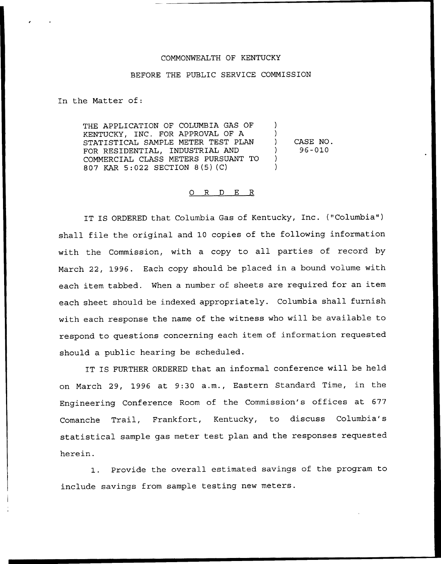## COMMONWEALTH OF KENTUCKY

## BEFORE THE PUBLIC SERVICE COMMISSION

In the Matter of:

THE APPLICATION OF COLUMBIA GAS OF KENTUCKY, INC. FOR APPROVAL OF A STATISTICAL SAMPLE METER TEST PLAN FOR RESIDENTIAL, INDUSTRIAL AND COMMERCIAL CLASS METERS PURSUANT TO 807 KAR 5:022 SECTION 8(5)(C) ) ) ) CASE NO. ) 96-010  $\left( \right)$ )

## 0 R <sup>D</sup> E R

IT IS ORDERED that Columbia Gas of Kentucky, Inc. {"Columbia") shall file the original and 10 copies of the following information with the Commission, with <sup>a</sup> copy to all parties of record by March 22, 1996. Each copy should be placed in a bound volume with each item tabbed. When a number of sheets are required for an item each sheet should be indexed appropriately. Columbia shall furnish with each response the name of the witness who will be available to respond to questions concerning each item of information requested should a public hearing be scheduled.

IT IS FURTHER ORDERED that an informal conference will be held on March 29, 1996 at 9:30 a.m., Eastern Standard Time, in the Engineering Conference Room of the Commission's offices at 677 Comanche Trail, Frankfort, Kentucky, to discuss Columbia's statistical sample gas meter test plan and the responses requested herein.

1. Provide the overall estimated savings of the program to include savings from sample testing new meters.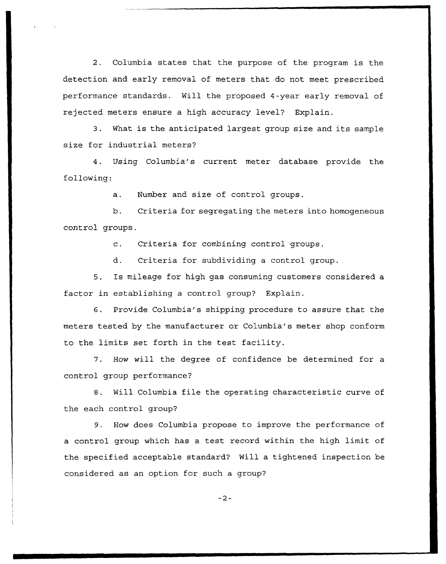2. Columbia states that the purpose of the program is the detection and early removal of meters that do not meet prescribed performance standards. Will the proposed 4-year early removal of rejected meters ensure a high accuracy level? Explain.

3. What is the anticipated largest group size and its sample size for industrial meters?

4. Using Columbia's current meter database provide the following:

a. Number and size of control groups.

b. Criteria for segregating the meters into homogeneous control groups.

c. Criteria for combining control groups.

d. Criteria for subdividing a control group.

5. Is mileage for high gas consuming customers considered a factor in establishing a control group? Explain.

6. Provide Columbia's shipping procedure to assure that the meters tested by the manufacturer or Columbia's meter shop conform to the limits set forth in the test facility.

7. How will the degree of confidence be determined for a control group performance?

8. Will Columbia file the operating characteristic curve of the each control group?

9. How does Columbia propose to improve the performance of a control group which has a test record within the high limit of the specified acceptable standard? Will a tightened inspection be considered as an option for such a group?

 $-2-$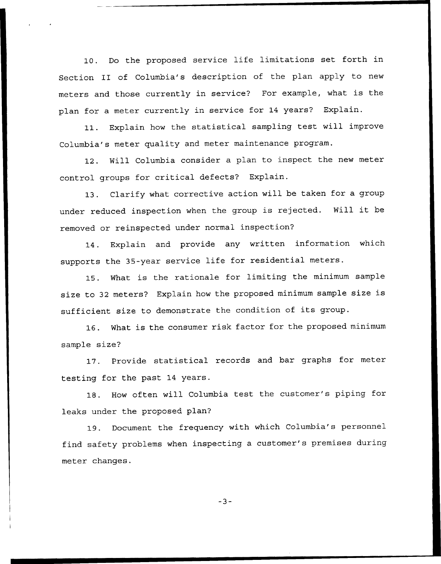10. Do the proposed service life limitations set forth in Section II of Columbia's description of the plan apply to new meters and those currently in service? For example, what is the plan for a meter currently in service for 14 years? Explain.

11. Explain how the statistical sampling test will improve Columbia's meter quality and meter maintenance program.

12. Will Columbia consider a plan to inspect the new meter control groups for critical defects? Explain.

13. Clarify what corrective action will be taken for a group under reduced inspection when the group is rejected. Will it be removed or reinspected under normal inspection'?

14. Explain and provide any written information which supports the 35-year service life for residential meters.

15. What is the rationale for limiting the minimum sample size to <sup>32</sup> meters? Explain how the proposed minimum sample size is sufficient size to demonstrate the condition of its group.

16. What is the consumer risk factor for the proposed minimum sample size?

17. Provide statistical records and bar graphs for meter testing for the past 14 years.

18. How often will Columbia test the customer's piping for leaks under the proposed plan?

19. Document the frequency with which Columbia's personnel find safety problems when inspecting a customer's premises during meter changes.

 $-3-$